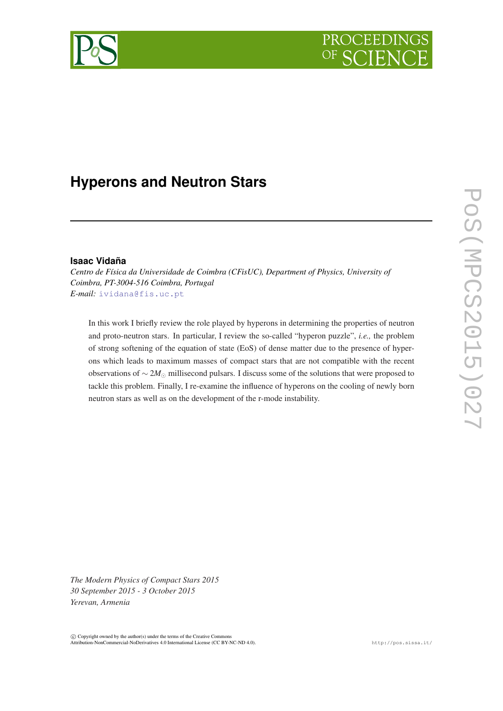

# **Hyperons and Neutron Stars**

# **Isaac Vidaña**

*Centro de Física da Universidade de Coimbra (CFisUC), Department of Physics, University of Coimbra, PT-3004-516 Coimbra, Portugal E-mail:* [ividana@fis.uc.pt](mailto:ividana@fis.uc.pt)

In this work I briefly review the role played by hyperons in determining the properties of neutron and proto-neutron stars. In particular, I review the so-called "hyperon puzzle", *i.e.,* the problem of strong softening of the equation of state (EoS) of dense matter due to the presence of hyperons which leads to maximum masses of compact stars that are not compatible with the recent observations of ∼ 2*M* millisecond pulsars. I discuss some of the solutions that were proposed to tackle this problem. Finally, I re-examine the influence of hyperons on the cooling of newly born neutron stars as well as on the development of the r-mode instability.

POS(MPCS2015)027 PoS(MPCS2015)027

*The Modern Physics of Compact Stars 2015 30 September 2015 - 3 October 2015 Yerevan, Armenia*

 $\overline{c}$  Copyright owned by the author(s) under the terms of the Creative Common Attribution-NonCommercial-NoDerivatives 4.0 International License (CC BY-NC-ND 4.0). http://pos.sissa.it/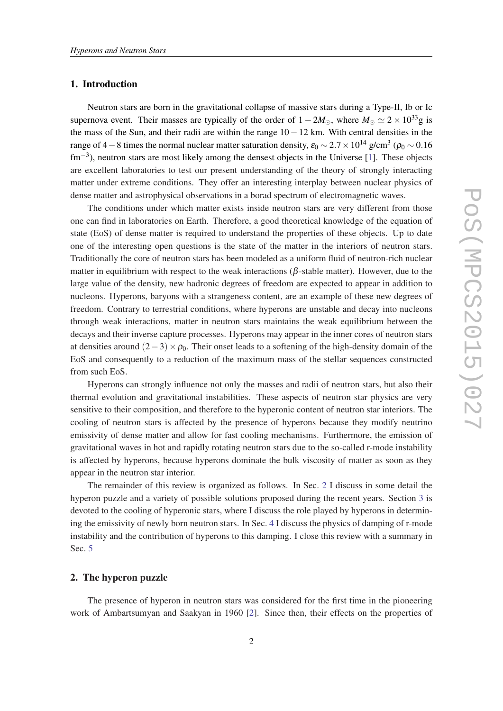# 1. Introduction

Neutron stars are born in the gravitational collapse of massive stars during a Type-II, Ib or Ic supernova event. Their masses are typically of the order of  $1 - 2M_{\odot}$ , where  $M_{\odot} \simeq 2 \times 10^{33}$ g is the mass of the Sun, and their radii are within the range  $10-12$  km. With central densities in the range of 4 $-$ 8 times the normal nuclear matter saturation density,  $\varepsilon_0$   $\sim$  2.7  $\times$   $10^{14}$  g/cm $^3$  ( $\rho_0$   $\sim$   $0.16$ fm<sup>-3</sup>), neutron stars are most likely among the densest objects in the Universe [[1](#page-9-0)]. These objects are excellent laboratories to test our present understanding of the theory of strongly interacting matter under extreme conditions. They offer an interesting interplay between nuclear physics of dense matter and astrophysical observations in a borad spectrum of electromagnetic waves.

The conditions under which matter exists inside neutron stars are very different from those one can find in laboratories on Earth. Therefore, a good theoretical knowledge of the equation of state (EoS) of dense matter is required to understand the properties of these objects. Up to date one of the interesting open questions is the state of the matter in the interiors of neutron stars. Traditionally the core of neutron stars has been modeled as a uniform fluid of neutron-rich nuclear matter in equilibrium with respect to the weak interactions ( $\beta$ -stable matter). However, due to the large value of the density, new hadronic degrees of freedom are expected to appear in addition to nucleons. Hyperons, baryons with a strangeness content, are an example of these new degrees of freedom. Contrary to terrestrial conditions, where hyperons are unstable and decay into nucleons through weak interactions, matter in neutron stars maintains the weak equilibrium between the decays and their inverse capture processes. Hyperons may appear in the inner cores of neutron stars at densities around  $(2-3) \times \rho_0$ . Their onset leads to a softening of the high-density domain of the EoS and consequently to a reduction of the maximum mass of the stellar sequences constructed from such EoS.

Hyperons can strongly influence not only the masses and radii of neutron stars, but also their thermal evolution and gravitational instabilities. These aspects of neutron star physics are very sensitive to their composition, and therefore to the hyperonic content of neutron star interiors. The cooling of neutron stars is affected by the presence of hyperons because they modify neutrino emissivity of dense matter and allow for fast cooling mechanisms. Furthermore, the emission of gravitational waves in hot and rapidly rotating neutron stars due to the so-called r-mode instability is affected by hyperons, because hyperons dominate the bulk viscosity of matter as soon as they appear in the neutron star interior.

The remainder of this review is organized as follows. In Sec. 2 I discuss in some detail the hyperon puzzle and a variety of possible solutions proposed during the recent years. Section [3](#page-5-0) is devoted to the cooling of hyperonic stars, where I discuss the role played by hyperons in determining the emissivity of newly born neutron stars. In Sec. [4](#page-6-0) I discuss the physics of damping of r-mode instability and the contribution of hyperons to this damping. I close this review with a summary in Sec. [5](#page-8-0)

# 2. The hyperon puzzle

The presence of hyperon in neutron stars was considered for the first time in the pioneering work of Ambartsumyan and Saakyan in 1960 [\[2\]](#page-9-0). Since then, their effects on the properties of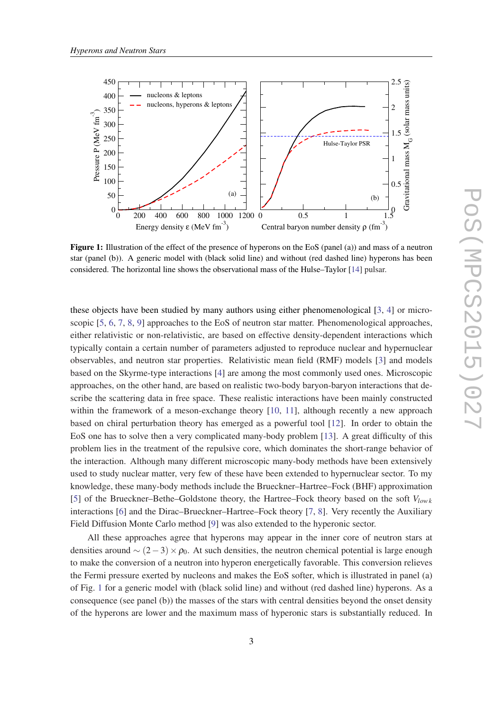

Figure 1: Illustration of the effect of the presence of hyperons on the EoS (panel (a)) and mass of a neutron star (panel (b)). A generic model with (black solid line) and without (red dashed line) hyperons has been considered. The horizontal line shows the observational mass of the Hulse–Taylor [[14\]](#page-9-0) pulsar.

these objects have been studied by many authors using either phenomenological [\[3,](#page-9-0) [4](#page-9-0)] or microscopic [[5](#page-9-0), [6](#page-9-0), [7](#page-9-0), [8,](#page-9-0) [9\]](#page-9-0) approaches to the EoS of neutron star matter. Phenomenological approaches, either relativistic or non-relativistic, are based on effective density-dependent interactions which typically contain a certain number of parameters adjusted to reproduce nuclear and hypernuclear observables, and neutron star properties. Relativistic mean field (RMF) models [[3](#page-9-0)] and models based on the Skyrme-type interactions [\[4\]](#page-9-0) are among the most commonly used ones. Microscopic approaches, on the other hand, are based on realistic two-body baryon-baryon interactions that describe the scattering data in free space. These realistic interactions have been mainly constructed within the framework of a meson-exchange theory [[10,](#page-9-0) [11](#page-9-0)], although recently a new approach based on chiral perturbation theory has emerged as a powerful tool [[12\]](#page-9-0). In order to obtain the EoS one has to solve then a very complicated many-body problem [\[13](#page-9-0)]. A great difficulty of this problem lies in the treatment of the repulsive core, which dominates the short-range behavior of the interaction. Although many different microscopic many-body methods have been extensively used to study nuclear matter, very few of these have been extended to hypernuclear sector. To my knowledge, these many-body methods include the Brueckner–Hartree–Fock (BHF) approximation [[5](#page-9-0)] of the Brueckner–Bethe–Goldstone theory, the Hartree–Fock theory based on the soft *Vlow k* interactions [[6](#page-9-0)] and the Dirac–Brueckner–Hartree–Fock theory [\[7,](#page-9-0) [8\]](#page-9-0). Very recently the Auxiliary Field Diffusion Monte Carlo method [\[9](#page-9-0)] was also extended to the hyperonic sector.

All these approaches agree that hyperons may appear in the inner core of neutron stars at densities around  $\sim$  (2 – 3)  $\times$   $\rho_0$ . At such densities, the neutron chemical potential is large enough to make the conversion of a neutron into hyperon energetically favorable. This conversion relieves the Fermi pressure exerted by nucleons and makes the EoS softer, which is illustrated in panel (a) of Fig. 1 for a generic model with (black solid line) and without (red dashed line) hyperons. As a consequence (see panel (b)) the masses of the stars with central densities beyond the onset density of the hyperons are lower and the maximum mass of hyperonic stars is substantially reduced. In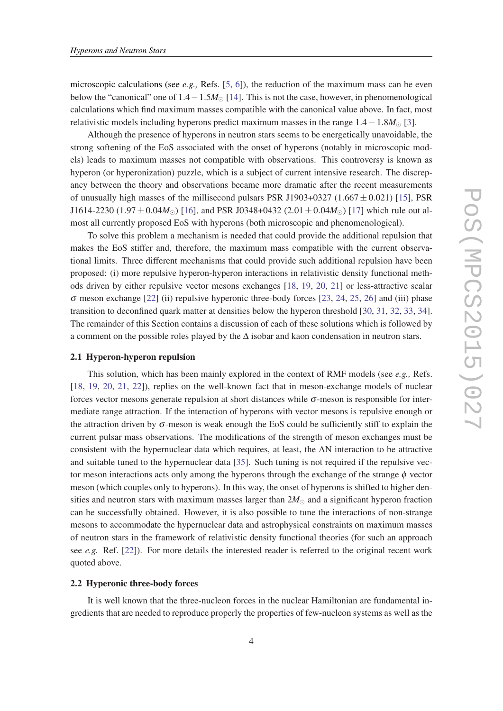microscopic calculations (see *e.g.,* Refs. [\[5,](#page-9-0) [6](#page-9-0)]), the reduction of the maximum mass can be even below the "canonical" one of  $1.4 - 1.5M_{\odot}$  [\[14](#page-9-0)]. This is not the case, however, in phenomenological calculations which find maximum masses compatible with the canonical value above. In fact, most relativistic models including hyperons predict maximum masses in the range  $1.4 - 1.8M_{\odot}$  [[3](#page-9-0)].

Although the presence of hyperons in neutron stars seems to be energetically unavoidable, the strong softening of the EoS associated with the onset of hyperons (notably in microscopic models) leads to maximum masses not compatible with observations. This controversy is known as hyperon (or hyperonization) puzzle, which is a subject of current intensive research. The discrepancy between the theory and observations became more dramatic after the recent measurements of unusually high masses of the millisecond pulsars PSR J1903+0327 (1.667  $\pm$  0.021) [[15\]](#page-10-0), PSR J1614-2230 (1.97  $\pm$  0.04 $M_{\odot}$ ) [[16\]](#page-10-0), and PSR J0348+0432 (2.01  $\pm$  0.04 $M_{\odot}$ ) [\[17](#page-10-0)] which rule out almost all currently proposed EoS with hyperons (both microscopic and phenomenological).

To solve this problem a mechanism is needed that could provide the additional repulsion that makes the EoS stiffer and, therefore, the maximum mass compatible with the current observational limits. Three different mechanisms that could provide such additional repulsion have been proposed: (i) more repulsive hyperon-hyperon interactions in relativistic density functional methods driven by either repulsive vector mesons exchanges [[18](#page-10-0), [19,](#page-10-0) [20](#page-10-0), [21\]](#page-10-0) or less-attractive scalar  $\sigma$  meson exchange [[22](#page-10-0)] (ii) repulsive hyperonic three-body forces [[23,](#page-10-0) [24](#page-10-0), [25](#page-10-0), [26\]](#page-10-0) and (iii) phase transition to deconfined quark matter at densities below the hyperon threshold [\[30](#page-10-0), [31,](#page-10-0) [32,](#page-10-0) [33](#page-10-0), [34\]](#page-10-0). The remainder of this Section contains a discussion of each of these solutions which is followed by a comment on the possible roles played by the  $\Delta$  isobar and kaon condensation in neutron stars.

#### 2.1 Hyperon-hyperon repulsion

This solution, which has been mainly explored in the context of RMF models (see *e.g.,* Refs. [[18,](#page-10-0) [19](#page-10-0), [20,](#page-10-0) [21](#page-10-0), [22\]](#page-10-0)), replies on the well-known fact that in meson-exchange models of nuclear forces vector mesons generate repulsion at short distances while  $\sigma$ -meson is responsible for intermediate range attraction. If the interaction of hyperons with vector mesons is repulsive enough or the attraction driven by  $\sigma$ -meson is weak enough the EoS could be sufficiently stiff to explain the current pulsar mass observations. The modifications of the strength of meson exchanges must be consistent with the hypernuclear data which requires, at least, the ΛN interaction to be attractive and suitable tuned to the hypernuclear data [[35\]](#page-10-0). Such tuning is not required if the repulsive vector meson interactions acts only among the hyperons through the exchange of the strange  $\phi$  vector meson (which couples only to hyperons). In this way, the onset of hyperons is shifted to higher densities and neutron stars with maximum masses larger than  $2M_{\odot}$  and a significant hyperon fraction can be successfully obtained. However, it is also possible to tune the interactions of non-strange mesons to accommodate the hypernuclear data and astrophysical constraints on maximum masses of neutron stars in the framework of relativistic density functional theories (for such an approach see *e.g.* Ref. [[22\]](#page-10-0)). For more details the interested reader is referred to the original recent work quoted above.

### 2.2 Hyperonic three-body forces

It is well known that the three-nucleon forces in the nuclear Hamiltonian are fundamental ingredients that are needed to reproduce properly the properties of few-nucleon systems as well as the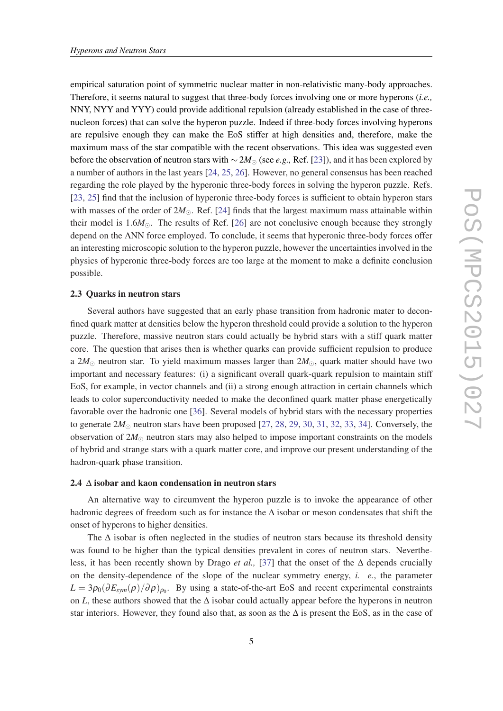empirical saturation point of symmetric nuclear matter in non-relativistic many-body approaches. Therefore, it seems natural to suggest that three-body forces involving one or more hyperons (*i.e.,* NNY, NYY and YYY) could provide additional repulsion (already established in the case of threenucleon forces) that can solve the hyperon puzzle. Indeed if three-body forces involving hyperons are repulsive enough they can make the EoS stiffer at high densities and, therefore, make the maximum mass of the star compatible with the recent observations. This idea was suggested even before the observation of neutron stars with  $\sim 2M_{\odot}$  (see *e.g.*, Ref. [\[23](#page-10-0)]), and it has been explored by a number of authors in the last years [\[24](#page-10-0), [25](#page-10-0), [26](#page-10-0)]. However, no general consensus has been reached regarding the role played by the hyperonic three-body forces in solving the hyperon puzzle. Refs. [[23,](#page-10-0) [25](#page-10-0)] find that the inclusion of hyperonic three-body forces is sufficient to obtain hyperon stars with masses of the order of  $2M_{\odot}$ . Ref. [\[24](#page-10-0)] finds that the largest maximum mass attainable within their model is  $1.6M_{\odot}$ . The results of Ref. [[26\]](#page-10-0) are not conclusive enough because they strongly depend on the ΛNN force employed. To conclude, it seems that hyperonic three-body forces offer an interesting microscopic solution to the hyperon puzzle, however the uncertainties involved in the physics of hyperonic three-body forces are too large at the moment to make a definite conclusion possible.

# 2.3 Quarks in neutron stars

Several authors have suggested that an early phase transition from hadronic mater to deconfined quark matter at densities below the hyperon threshold could provide a solution to the hyperon puzzle. Therefore, massive neutron stars could actually be hybrid stars with a stiff quark matter core. The question that arises then is whether quarks can provide sufficient repulsion to produce a  $2M_{\odot}$  neutron star. To yield maximum masses larger than  $2M_{\odot}$ , quark matter should have two important and necessary features: (i) a significant overall quark-quark repulsion to maintain stiff EoS, for example, in vector channels and (ii) a strong enough attraction in certain channels which leads to color superconductivity needed to make the deconfined quark matter phase energetically favorable over the hadronic one [\[36](#page-10-0)]. Several models of hybrid stars with the necessary properties to generate  $2M_{\odot}$  neutron stars have been proposed [\[27](#page-10-0), [28,](#page-10-0) [29](#page-10-0), [30](#page-10-0), [31,](#page-10-0) [32](#page-10-0), [33,](#page-10-0) [34\]](#page-10-0). Conversely, the observation of  $2M_{\odot}$  neutron stars may also helped to impose important constraints on the models of hybrid and strange stars with a quark matter core, and improve our present understanding of the hadron-quark phase transition.

#### 2.4 ∆ isobar and kaon condensation in neutron stars

An alternative way to circumvent the hyperon puzzle is to invoke the appearance of other hadronic degrees of freedom such as for instance the ∆ isobar or meson condensates that shift the onset of hyperons to higher densities.

The  $\Delta$  isobar is often neglected in the studies of neutron stars because its threshold density was found to be higher than the typical densities prevalent in cores of neutron stars. Nevertheless, it has been recently shown by Drago *et al.*, [\[37](#page-10-0)] that the onset of the  $\Delta$  depends crucially on the density-dependence of the slope of the nuclear symmetry energy, *i. e.*, the parameter  $L = 3\rho_0(\partial E_{sym}(\rho)/\partial \rho)_{\rho_0}$ . By using a state-of-the-art EoS and recent experimental constraints on *L*, these authors showed that the  $\Delta$  isobar could actually appear before the hyperons in neutron star interiors. However, they found also that, as soon as the  $\Delta$  is present the EoS, as in the case of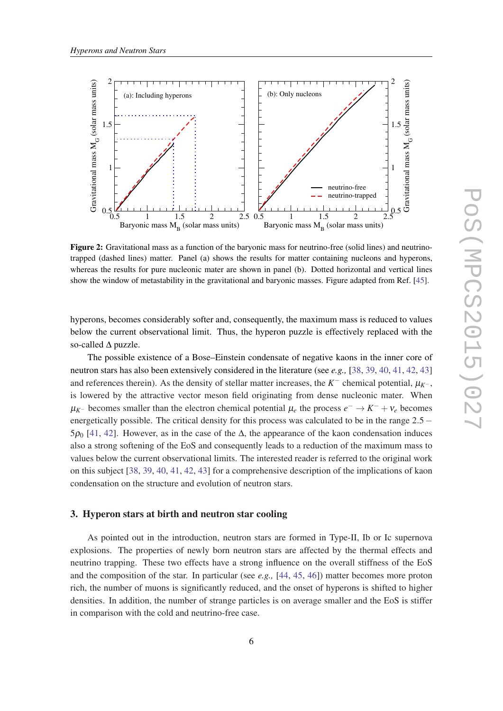<span id="page-5-0"></span>

Figure 2: Gravitational mass as a function of the baryonic mass for neutrino-free (solid lines) and neutrinotrapped (dashed lines) matter. Panel (a) shows the results for matter containing nucleons and hyperons, whereas the results for pure nucleonic mater are shown in panel (b). Dotted horizontal and vertical lines show the window of metastability in the gravitational and baryonic masses. Figure adapted from Ref. [\[45](#page-11-0)].

hyperons, becomes considerably softer and, consequently, the maximum mass is reduced to values below the current observational limit. Thus, the hyperon puzzle is effectively replaced with the so-called ∆ puzzle.

The possible existence of a Bose–Einstein condensate of negative kaons in the inner core of neutron stars has also been extensively considered in the literature (see *e.g.,* [[38,](#page-10-0) [39,](#page-10-0) [40,](#page-10-0) [41,](#page-10-0) [42](#page-10-0), [43](#page-10-0)] and references therein). As the density of stellar matter increases, the  $K^-$  chemical potential,  $\mu_{K^-}$ , is lowered by the attractive vector meson field originating from dense nucleonic mater. When  $\mu_{K^-}$  becomes smaller than the electron chemical potential  $\mu_e$  the process  $e^- \to K^- + \nu_e$  becomes energetically possible. The critical density for this process was calculated to be in the range 2.5 −  $5\rho_0$  [\[41](#page-10-0), [42](#page-10-0)]. However, as in the case of the  $\Delta$ , the appearance of the kaon condensation induces also a strong softening of the EoS and consequently leads to a reduction of the maximum mass to values below the current observational limits. The interested reader is referred to the original work on this subject [[38,](#page-10-0) [39](#page-10-0), [40](#page-10-0), [41,](#page-10-0) [42](#page-10-0), [43](#page-10-0)] for a comprehensive description of the implications of kaon condensation on the structure and evolution of neutron stars.

# 3. Hyperon stars at birth and neutron star cooling

As pointed out in the introduction, neutron stars are formed in Type-II, Ib or Ic supernova explosions. The properties of newly born neutron stars are affected by the thermal effects and neutrino trapping. These two effects have a strong influence on the overall stiffness of the EoS and the composition of the star. In particular (see *e.g.,* [\[44](#page-11-0), [45](#page-11-0), [46\]](#page-11-0)) matter becomes more proton rich, the number of muons is significantly reduced, and the onset of hyperons is shifted to higher densities. In addition, the number of strange particles is on average smaller and the EoS is stiffer in comparison with the cold and neutrino-free case.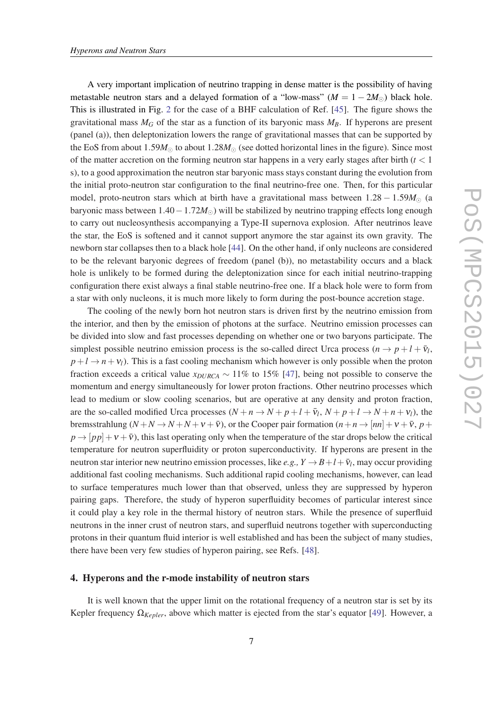<span id="page-6-0"></span>A very important implication of neutrino trapping in dense matter is the possibility of having metastable neutron stars and a delayed formation of a "low-mass" ( $M = 1 - 2M_{\odot}$ ) black hole. This is illustrated in Fig. [2](#page-5-0) for the case of a BHF calculation of Ref. [[45\]](#page-11-0). The figure shows the gravitational mass  $M_G$  of the star as a function of its baryonic mass  $M_B$ . If hyperons are present (panel (a)), then deleptonization lowers the range of gravitational masses that can be supported by the EoS from about  $1.59M_{\odot}$  to about  $1.28M_{\odot}$  (see dotted horizontal lines in the figure). Since most of the matter accretion on the forming neutron star happens in a very early stages after birth (*t* < 1 s), to a good approximation the neutron star baryonic mass stays constant during the evolution from the initial proto-neutron star configuration to the final neutrino-free one. Then, for this particular model, proto-neutron stars which at birth have a gravitational mass between  $1.28 - 1.59M_{\odot}$  (a baryonic mass between  $1.40 - 1.72 M_{\odot}$ ) will be stabilized by neutrino trapping effects long enough to carry out nucleosynthesis accompanying a Type-II supernova explosion. After neutrinos leave the star, the EoS is softened and it cannot support anymore the star against its own gravity. The newborn star collapses then to a black hole [\[44\]](#page-11-0). On the other hand, if only nucleons are considered to be the relevant baryonic degrees of freedom (panel (b)), no metastability occurs and a black hole is unlikely to be formed during the deleptonization since for each initial neutrino-trapping configuration there exist always a final stable neutrino-free one. If a black hole were to form from a star with only nucleons, it is much more likely to form during the post-bounce accretion stage.

The cooling of the newly born hot neutron stars is driven first by the neutrino emission from the interior, and then by the emission of photons at the surface. Neutrino emission processes can be divided into slow and fast processes depending on whether one or two baryons participate. The simplest possible neutrino emission process is the so-called direct Urca process  $(n \rightarrow p + l + \bar{v}_l)$ ,  $p+l \rightarrow n+v_l$ ). This is a fast cooling mechanism which however is only possible when the proton fraction exceeds a critical value *xDURCA* ∼ 11% to 15% [\[47\]](#page-11-0), being not possible to conserve the momentum and energy simultaneously for lower proton fractions. Other neutrino processes which lead to medium or slow cooling scenarios, but are operative at any density and proton fraction, are the so-called modified Urca processes  $(N + n \rightarrow N + p + l + \bar{v}_l, N + p + l \rightarrow N + n + v_l)$ , the bremsstrahlung  $(N + N \rightarrow N + N + v + \bar{v})$ , or the Cooper pair formation  $(n + n \rightarrow [nn] + v + \bar{v}, p + \bar{v})$  $p \rightarrow [pp] + v + \bar{v}$ , this last operating only when the temperature of the star drops below the critical temperature for neutron superfluidity or proton superconductivity. If hyperons are present in the neutron star interior new neutrino emission processes, like *e.g.*,  $Y \rightarrow B + l + \bar{v}_l$ , may occur providing additional fast cooling mechanisms. Such additional rapid cooling mechanisms, however, can lead to surface temperatures much lower than that observed, unless they are suppressed by hyperon pairing gaps. Therefore, the study of hyperon superfluidity becomes of particular interest since it could play a key role in the thermal history of neutron stars. While the presence of superfluid neutrons in the inner crust of neutron stars, and superfluid neutrons together with superconducting protons in their quantum fluid interior is well established and has been the subject of many studies, there have been very few studies of hyperon pairing, see Refs. [[48\]](#page-11-0).

#### 4. Hyperons and the r-mode instability of neutron stars

It is well known that the upper limit on the rotational frequency of a neutron star is set by its Kepler frequency Ω*Kepler*, above which matter is ejected from the star's equator [[49](#page-11-0)]. However, a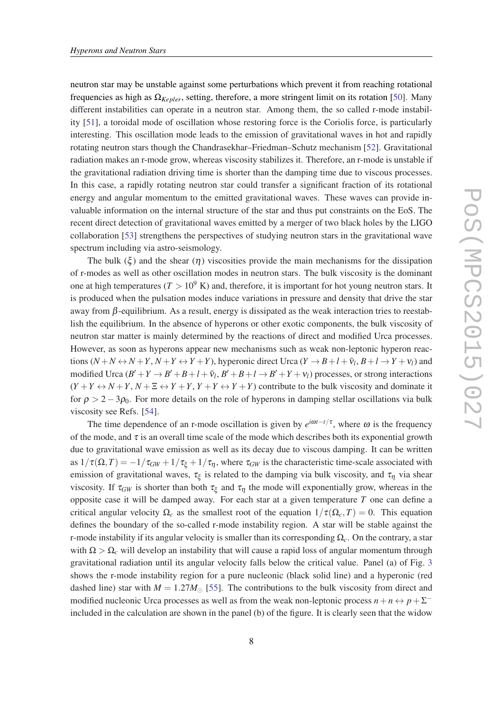neutron star may be unstable against some perturbations which prevent it from reaching rotational frequencies as high as Ω*Kepler*, setting, therefore, a more stringent limit on its rotation [\[50](#page-11-0)]. Many different instabilities can operate in a neutron star. Among them, the so called r-mode instability [[51\]](#page-11-0), a toroidal mode of oscillation whose restoring force is the Coriolis force, is particularly interesting. This oscillation mode leads to the emission of gravitational waves in hot and rapidly rotating neutron stars though the Chandrasekhar–Friedman–Schutz mechanism [[52\]](#page-11-0). Gravitational radiation makes an r-mode grow, whereas viscosity stabilizes it. Therefore, an r-mode is unstable if the gravitational radiation driving time is shorter than the damping time due to viscous processes. In this case, a rapidly rotating neutron star could transfer a significant fraction of its rotational energy and angular momentum to the emitted gravitational waves. These waves can provide invaluable information on the internal structure of the star and thus put constraints on the EoS. The recent direct detection of gravitational waves emitted by a merger of two black holes by the LIGO collaboration [[53\]](#page-11-0) strengthens the perspectives of studying neutron stars in the gravitational wave spectrum including via astro-seismology.

The bulk  $(\xi)$  and the shear  $(\eta)$  viscosities provide the main mechanisms for the dissipation of r-modes as well as other oscillation modes in neutron stars. The bulk viscosity is the dominant one at high temperatures ( $T > 10^9$  K) and, therefore, it is important for hot young neutron stars. It is produced when the pulsation modes induce variations in pressure and density that drive the star away from β-equilibrium. As a result, energy is dissipated as the weak interaction tries to reestablish the equilibrium. In the absence of hyperons or other exotic components, the bulk viscosity of neutron star matter is mainly determined by the reactions of direct and modified Urca processes. However, as soon as hyperons appear new mechanisms such as weak non-leptonic hyperon reactions  $(N+N \leftrightarrow N+Y, N+Y \leftrightarrow Y+Y)$ , hyperonic direct Urca  $(Y \rightarrow B+I+\bar{v}_l, B+I \rightarrow Y+ v_l)$  and modified Urca  $(B' + Y \rightarrow B' + B + l + \bar{v}_l, B' + B + l \rightarrow B' + Y + v_l)$  processes, or strong interactions  $(Y+Y \leftrightarrow N+Y, N+\Xi \leftrightarrow Y+Y, Y+Y \leftrightarrow Y+Y)$  contribute to the bulk viscosity and dominate it for  $\rho > 2-3\rho_0$ . For more details on the role of hyperons in damping stellar oscillations via bulk viscosity see Refs. [\[54](#page-11-0)].

The time dependence of an r-mode oscillation is given by  $e^{i\omega t - t/\tau}$ , where  $\omega$  is the frequency of the mode, and  $\tau$  is an overall time scale of the mode which describes both its exponential growth due to gravitational wave emission as well as its decay due to viscous damping. It can be written as  $1/\tau(\Omega,T) = -1/\tau_{GW} + 1/\tau_{\xi} + 1/\tau_{\eta}$ , where  $\tau_{GW}$  is the characteristic time-scale associated with emission of gravitational waves,  $\tau_{\xi}$  is related to the damping via bulk viscosity, and  $\tau_{\eta}$  via shear viscosity. If  $\tau_{GW}$  is shorter than both  $\tau_{\xi}$  and  $\tau_{\eta}$  the mode will exponentially grow, whereas in the opposite case it will be damped away. For each star at a given temperature *T* one can define a critical angular velocity  $\Omega_c$  as the smallest root of the equation  $1/\tau(\Omega_c, T) = 0$ . This equation defines the boundary of the so-called r-mode instability region. A star will be stable against the r-mode instability if its angular velocity is smaller than its corresponding Ω*c*. On the contrary, a star with  $\Omega > \Omega_c$  will develop an instability that will cause a rapid loss of angular momentum through gravitational radiation until its angular velocity falls below the critical value. Panel (a) of Fig. [3](#page-8-0) shows the r-mode instability region for a pure nucleonic (black solid line) and a hyperonic (red dashed line) star with  $M = 1.27 M_{\odot}$  [\[55](#page-11-0)]. The contributions to the bulk viscosity from direct and modified nucleonic Urca processes as well as from the weak non-leptonic process  $n + n \leftrightarrow p + \Sigma^{-}$ included in the calculation are shown in the panel (b) of the figure. It is clearly seen that the widow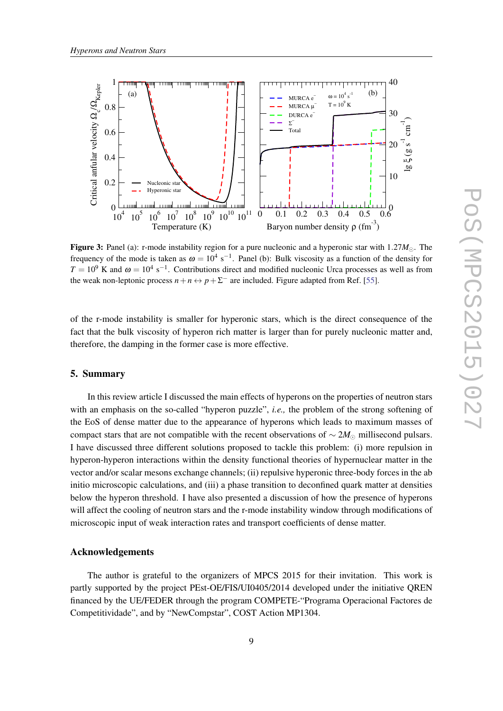<span id="page-8-0"></span>

Figure 3: Panel (a): r-mode instability region for a pure nucleonic and a hyperonic star with 1.27*M*<sub>.</sub>. The frequency of the mode is taken as  $\omega = 10^4$  s<sup>-1</sup>. Panel (b): Bulk viscosity as a function of the density for  $T = 10^9$  K and  $\omega = 10^4$  s<sup>-1</sup>. Contributions direct and modified nucleonic Urca processes as well as from the weak non-leptonic process  $n + n \leftrightarrow p + \Sigma^-$  are included. Figure adapted from Ref. [[55](#page-11-0)].

of the r-mode instability is smaller for hyperonic stars, which is the direct consequence of the fact that the bulk viscosity of hyperon rich matter is larger than for purely nucleonic matter and, therefore, the damping in the former case is more effective.

# 5. Summary

In this review article I discussed the main effects of hyperons on the properties of neutron stars with an emphasis on the so-called "hyperon puzzle", *i.e.,* the problem of the strong softening of the EoS of dense matter due to the appearance of hyperons which leads to maximum masses of compact stars that are not compatible with the recent observations of  $\sim 2M_{\odot}$  millisecond pulsars. I have discussed three different solutions proposed to tackle this problem: (i) more repulsion in hyperon-hyperon interactions within the density functional theories of hypernuclear matter in the vector and/or scalar mesons exchange channels; (ii) repulsive hyperonic three-body forces in the ab initio microscopic calculations, and (iii) a phase transition to deconfined quark matter at densities below the hyperon threshold. I have also presented a discussion of how the presence of hyperons will affect the cooling of neutron stars and the r-mode instability window through modifications of microscopic input of weak interaction rates and transport coefficients of dense matter.

### Acknowledgements

The author is grateful to the organizers of MPCS 2015 for their invitation. This work is partly supported by the project PEst-OE/FIS/UI0405/2014 developed under the initiative QREN financed by the UE/FEDER through the program COMPETE-"Programa Operacional Factores de Competitividade", and by "NewCompstar", COST Action MP1304.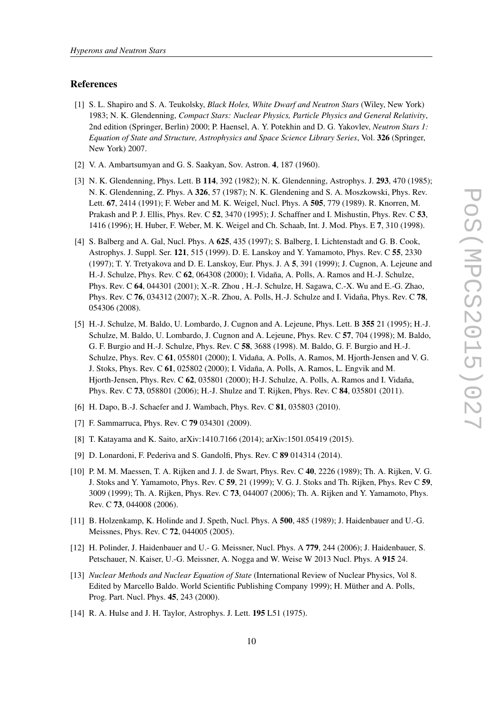#### <span id="page-9-0"></span>References

- [1] S. L. Shapiro and S. A. Teukolsky, *Black Holes, White Dwarf and Neutron Stars* (Wiley, New York) 1983; N. K. Glendenning, *Compact Stars: Nuclear Physics, Particle Physics and General Relativity*, 2nd edition (Springer, Berlin) 2000; P. Haensel, A. Y. Potekhin and D. G. Yakovlev, *Neutron Stars 1: Equation of State and Structure, Astrophysics and Space Science Library Series*, Vol. 326 (Springer, New York) 2007.
- [2] V. A. Ambartsumyan and G. S. Saakyan, Sov. Astron. 4, 187 (1960).
- [3] N. K. Glendenning, Phys. Lett. B 114, 392 (1982); N. K. Glendenning, Astrophys. J. 293, 470 (1985); N. K. Glendenning, Z. Phys. A 326, 57 (1987); N. K. Glendening and S. A. Moszkowski, Phys. Rev. Lett. 67, 2414 (1991); F. Weber and M. K. Weigel, Nucl. Phys. A 505, 779 (1989). R. Knorren, M. Prakash and P. J. Ellis, Phys. Rev. C 52, 3470 (1995); J. Schaffner and I. Mishustin, Phys. Rev. C 53, 1416 (1996); H. Huber, F. Weber, M. K. Weigel and Ch. Schaab, Int. J. Mod. Phys. E 7, 310 (1998).
- [4] S. Balberg and A. Gal, Nucl. Phys. A 625, 435 (1997); S. Balberg, I. Lichtenstadt and G. B. Cook, Astrophys. J. Suppl. Ser. 121, 515 (1999). D. E. Lanskoy and Y. Yamamoto, Phys. Rev. C 55, 2330 (1997); T. Y. Tretyakova and D. E. Lanskoy, Eur. Phys. J. A 5, 391 (1999); J. Cugnon, A. Lejeune and H.-J. Schulze, Phys. Rev. C 62, 064308 (2000); I. Vidaña, A. Polls, A. Ramos and H.-J. Schulze, Phys. Rev. C 64, 044301 (2001); X.-R. Zhou , H.-J. Schulze, H. Sagawa, C.-X. Wu and E.-G. Zhao, Phys. Rev. C 76, 034312 (2007); X.-R. Zhou, A. Polls, H.-J. Schulze and I. Vidaña, Phys. Rev. C 78, 054306 (2008).
- [5] H.-J. Schulze, M. Baldo, U. Lombardo, J. Cugnon and A. Lejeune, Phys. Lett. B 355 21 (1995); H.-J. Schulze, M. Baldo, U. Lombardo, J. Cugnon and A. Lejeune, Phys. Rev. C 57, 704 (1998); M. Baldo, G. F. Burgio and H.-J. Schulze, Phys. Rev. C 58, 3688 (1998). M. Baldo, G. F. Burgio and H.-J. Schulze, Phys. Rev. C 61, 055801 (2000); I. Vidaña, A. Polls, A. Ramos, M. Hjorth-Jensen and V. G. J. Stoks, Phys. Rev. C 61, 025802 (2000); I. Vidaña, A. Polls, A. Ramos, L. Engvik and M. Hjorth-Jensen, Phys. Rev. C 62, 035801 (2000); H-J. Schulze, A. Polls, A. Ramos and I. Vidaña, Phys. Rev. C 73, 058801 (2006); H.-J. Shulze and T. Rijken, Phys. Rev. C 84, 035801 (2011).
- [6] H. Dapo, B.-J. Schaefer and J. Wambach, Phys. Rev. C 81, 035803 (2010).
- [7] F. Sammarruca, Phys. Rev. C 79 034301 (2009).
- [8] T. Katayama and K. Saito, arXiv:1410.7166 (2014); arXiv:1501.05419 (2015).
- [9] D. Lonardoni, F. Pederiva and S. Gandolfi, Phys. Rev. C 89 014314 (2014).
- [10] P. M. M. Maessen, T. A. Rijken and J. J. de Swart, Phys. Rev. C 40, 2226 (1989); Th. A. Rijken, V. G. J. Stoks and Y. Yamamoto, Phys. Rev. C 59, 21 (1999); V. G. J. Stoks and Th. Rijken, Phys. Rev C 59, 3009 (1999); Th. A. Rijken, Phys. Rev. C 73, 044007 (2006); Th. A. Rijken and Y. Yamamoto, Phys. Rev. C 73, 044008 (2006).
- [11] B. Holzenkamp, K. Holinde and J. Speth, Nucl. Phys. A 500, 485 (1989); J. Haidenbauer and U.-G. Meissnes, Phys. Rev. C 72, 044005 (2005).
- [12] H. Polinder, J. Haidenbauer and U.- G. Meissner, Nucl. Phys. A 779, 244 (2006); J. Haidenbauer, S. Petschauer, N. Kaiser, U.-G. Meissner, A. Nogga and W. Weise W 2013 Nucl. Phys. A 915 24.
- [13] *Nuclear Methods and Nuclear Equation of State* (International Review of Nuclear Physics, Vol 8. Edited by Marcello Baldo. World Scientific Publishing Company 1999); H. Müther and A. Polls, Prog. Part. Nucl. Phys. 45, 243 (2000).
- [14] R. A. Hulse and J. H. Taylor, Astrophys. J. Lett. **195** L51 (1975).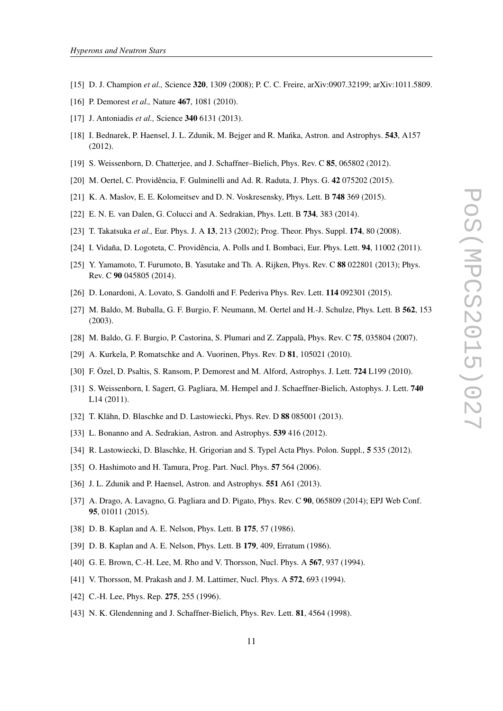- <span id="page-10-0"></span>[15] D. J. Champion *et al.,* Science 320, 1309 (2008); P. C. C. Freire, arXiv:0907.32199; arXiv:1011.5809.
- [16] P. Demorest *et al.*, Nature **467**, 1081 (2010).
- [17] J. Antoniadis *et al.*, Science **340** 6131 (2013).
- [18] I. Bednarek, P. Haensel, J. L. Zdunik, M. Bejger and R. Manka, Astron. and Astrophys. 543, A157 (2012).
- [19] S. Weissenborn, D. Chatterjee, and J. Schaffner–Bielich, Phys. Rev. C 85, 065802 (2012).
- [20] M. Oertel, C. Providência, F. Gulminelli and Ad. R. Raduta, J. Phys. G. 42 075202 (2015).
- [21] K. A. Maslov, E. E. Kolomeitsev and D. N. Voskresensky, Phys. Lett. B 748 369 (2015).
- [22] E. N. E. van Dalen, G. Colucci and A. Sedrakian, Phys. Lett. B 734, 383 (2014).
- [23] T. Takatsuka *et al.,* Eur. Phys. J. A 13, 213 (2002); Prog. Theor. Phys. Suppl. 174, 80 (2008).
- [24] I. Vidaña, D. Logoteta, C. Providência, A. Polls and I. Bombaci, Eur. Phys. Lett. 94, 11002 (2011).
- [25] Y. Yamamoto, T. Furumoto, B. Yasutake and Th. A. Rijken, Phys. Rev. C 88 022801 (2013); Phys. Rev. C 90 045805 (2014).
- [26] D. Lonardoni, A. Lovato, S. Gandolfi and F. Pederiva Phys. Rev. Lett. 114 092301 (2015).
- [27] M. Baldo, M. Buballa, G. F. Burgio, F. Neumann, M. Oertel and H.-J. Schulze, Phys. Lett. B 562, 153 (2003).
- [28] M. Baldo, G. F. Burgio, P. Castorina, S. Plumari and Z. Zappalà, Phys. Rev. C 75, 035804 (2007).
- [29] A. Kurkela, P. Romatschke and A. Vuorinen, Phys. Rev. D **81**, 105021 (2010).
- [30] F. Özel, D. Psaltis, S. Ransom, P. Demorest and M. Alford, Astrophys. J. Lett. 724 L199 (2010).
- [31] S. Weissenborn, I. Sagert, G. Pagliara, M. Hempel and J. Schaeffner-Bielich, Astophys. J. Lett. 740 L14 (2011).
- [32] T. Klähn, D. Blaschke and D. Lastowiecki, Phys. Rev. D 88 085001 (2013).
- [33] L. Bonanno and A. Sedrakian, Astron. and Astrophys. **539** 416 (2012).
- [34] R. Lastowiecki, D. Blaschke, H. Grigorian and S. Typel Acta Phys. Polon. Suppl., 5 535 (2012).
- [35] O. Hashimoto and H. Tamura, Prog. Part. Nucl. Phys. **57** 564 (2006).
- [36] J. L. Zdunik and P. Haensel, Astron. and Astrophys. **551** A61 (2013).
- [37] A. Drago, A. Lavagno, G. Pagliara and D. Pigato, Phys. Rev. C 90, 065809 (2014); EPJ Web Conf. 95, 01011 (2015).
- [38] D. B. Kaplan and A. E. Nelson, Phys. Lett. B 175, 57 (1986).
- [39] D. B. Kaplan and A. E. Nelson, Phys. Lett. B 179, 409, Erratum (1986).
- [40] G. E. Brown, C.-H. Lee, M. Rho and V. Thorsson, Nucl. Phys. A 567, 937 (1994).
- [41] V. Thorsson, M. Prakash and J. M. Lattimer, Nucl. Phys. A 572, 693 (1994).
- [42] C.-H. Lee, Phys. Rep. 275, 255 (1996).
- [43] N. K. Glendenning and J. Schaffner-Bielich, Phys. Rev. Lett. 81, 4564 (1998).